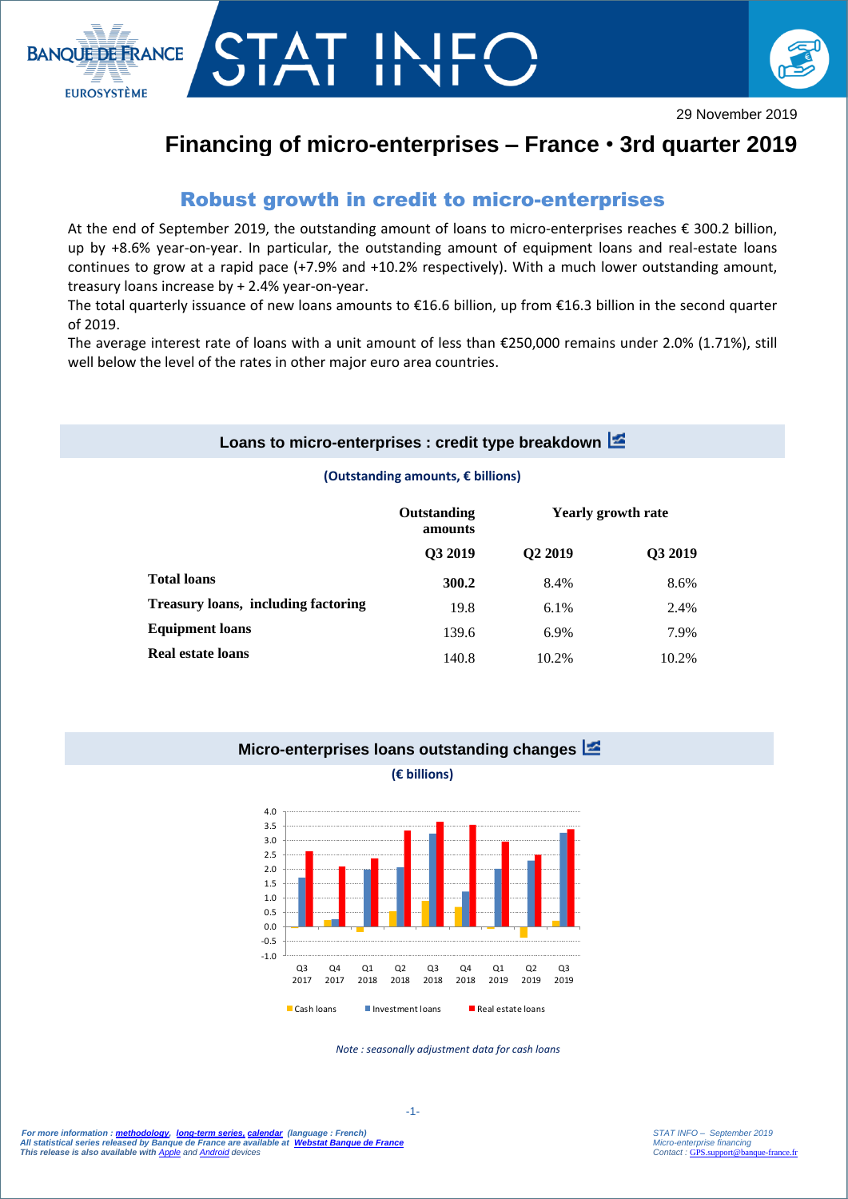



# **Financing of micro-enterprises – France** • **3rd quarter 2019**

## Robust growth in credit to micro-enterprises

T IN<br>T

At the end of September 2019, the outstanding amount of loans to micro-enterprises reaches € 300.2 billion, up by +8.6% year-on-year. In particular, the outstanding amount of equipment loans and real-estate loans continues to grow at a rapid pace (+7.9% and +10.2% respectively). With a much lower outstanding amount, treasury loans increase by + 2.4% year-on-year.

The total quarterly issuance of new loans amounts to €16.6 billion, up from €16.3 billion in the second quarter of 2019.

The average interest rate of loans with a unit amount of less than €250,000 remains under 2.0% (1.71%), still well below the level of the rates in other major euro area countries.

#### **Loans to micro-enterprises : credit type breakdown**

#### **(Outstanding amounts, € billions)**

|                                            | Outstanding<br>amounts<br>Q3 2019 | <b>Yearly growth rate</b> |         |
|--------------------------------------------|-----------------------------------|---------------------------|---------|
|                                            |                                   | Q <sub>2</sub> 2019       | Q3 2019 |
| <b>Total loans</b>                         | 300.2                             | 8.4%                      | 8.6%    |
| <b>Treasury loans, including factoring</b> | 19.8                              | 6.1%                      | 2.4%    |
| <b>Equipment loans</b>                     | 139.6                             | 6.9%                      | 7.9%    |
| Real estate loans                          | 140.8                             | 10.2%                     | 10.2%   |

#### **Micro-enterprises loans outstanding changes**

#### **(€ billions)**



*Note : seasonally adjustment data for cash loans*